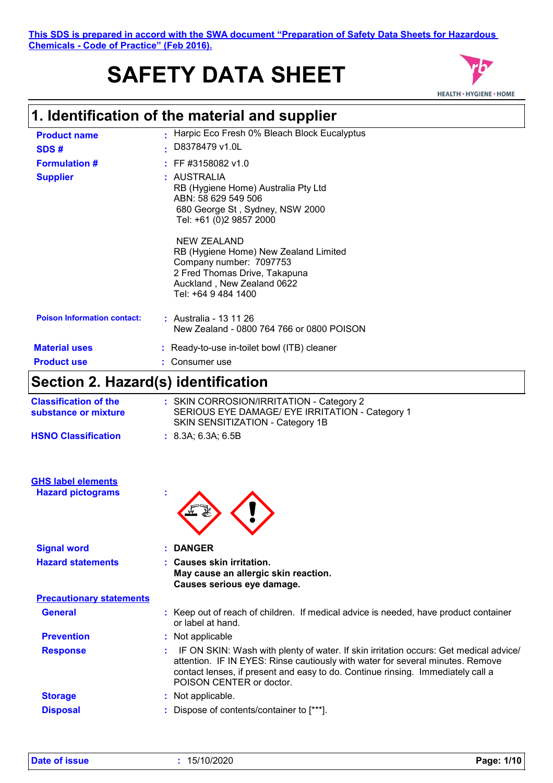# **SAFETY DATA SHEET**



## **1. Identification of the material and supplier**

| <b>Product name</b>                                   | Harpic Eco Fresh 0% Bleach Block Eucalyptus                                                                                                                                  |
|-------------------------------------------------------|------------------------------------------------------------------------------------------------------------------------------------------------------------------------------|
| SDS#                                                  | D8378479 v1.0L                                                                                                                                                               |
| <b>Formulation #</b>                                  | FF #3158082 v1.0                                                                                                                                                             |
| <b>Supplier</b>                                       | : AUSTRALIA<br>RB (Hygiene Home) Australia Pty Ltd<br>ABN: 58 629 549 506<br>680 George St, Sydney, NSW 2000<br>Tel: +61 (0)2 9857 2000                                      |
|                                                       | <b>NEW ZEALAND</b><br>RB (Hygiene Home) New Zealand Limited<br>Company number: 7097753<br>2 Fred Thomas Drive, Takapuna<br>Auckland, New Zealand 0622<br>Tel: +64 9 484 1400 |
| <b>Poison Information contact:</b>                    | : Australia - 13 11 26<br>New Zealand - 0800 764 766 or 0800 POISON                                                                                                          |
| <b>Material uses</b>                                  | : Ready-to-use in-toilet bowl (ITB) cleaner                                                                                                                                  |
| <b>Product use</b>                                    | Consumer use                                                                                                                                                                 |
| Section 2. Hazard(s) identification                   |                                                                                                                                                                              |
| <b>Classification of the</b><br>substance or mixture  | : SKIN CORROSION/IRRITATION - Category 2<br>SERIOUS EYE DAMAGE/ EYE IRRITATION - Category 1<br>SKIN SENSITIZATION - Category 1B                                              |
| <b>HSNO Classification</b>                            | : 8.3A; 6.3A; 6.5B                                                                                                                                                           |
| <b>GHS label elements</b><br><b>Hazard pictograms</b> |                                                                                                                                                                              |
| <b>Signal word</b>                                    | <b>DANGER</b>                                                                                                                                                                |
| <b>Hazard statements</b>                              | <b>Causes skin irritation.</b><br>May cause an allergic skin reaction.<br>Causes serious eye damage.                                                                         |
| <b>Precautionary statements</b>                       |                                                                                                                                                                              |
| <b>General</b>                                        | : Keep out of reach of children. If medical advice is needed, have product container                                                                                         |

| - <del>- - - - - - - - - - - - -</del> | <b>Provided to the community of the community of the control of the community of the community of the community of </b><br>or label at hand. |
|----------------------------------------|----------------------------------------------------------------------------------------------------------------------------------------------|
| <b>Prevention</b>                      | : Not applicable                                                                                                                             |
| <b>Response</b>                        | : IF ON SKIN: Wash with plenty of water. If skin irritation occurs: Get medical advice/                                                      |

| <u>.</u>       | attention. IF IN EYES: Rinse cautiously with water for several minutes. Remove<br>contact lenses, if present and easy to do. Continue rinsing. Immediately call a |
|----------------|-------------------------------------------------------------------------------------------------------------------------------------------------------------------|
|                | POISON CENTER or doctor.                                                                                                                                          |
| <b>Storage</b> | : Not applicable.                                                                                                                                                 |

**Disposal :** Dispose of contents/container to [\*\*\*].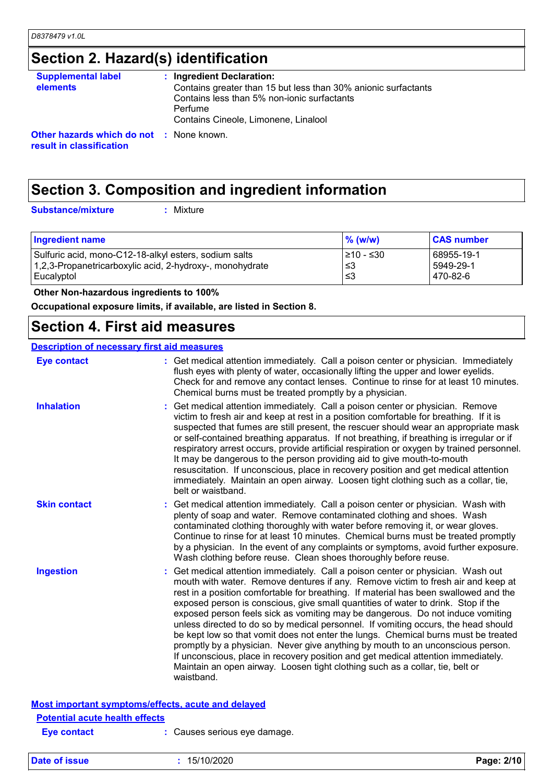## **Section 2. Hazard(s) identification**

| <b>Supplemental label</b>                                                   | : Ingredient Declaration:                                      |
|-----------------------------------------------------------------------------|----------------------------------------------------------------|
| <b>elements</b>                                                             | Contains greater than 15 but less than 30% anionic surfactants |
|                                                                             | Contains less than 5% non-ionic surfactants                    |
|                                                                             | Perfume                                                        |
|                                                                             | Contains Cineole, Limonene, Linalool                           |
| <b>Other hazards which do not : None known.</b><br>result in classification |                                                                |

### **Section 3. Composition and ingredient information**

**Substance/mixture :**

: Mixture

| <b>Ingredient name</b>                                   | $%$ (w/w)  | <b>CAS number</b> |
|----------------------------------------------------------|------------|-------------------|
| Sulfuric acid, mono-C12-18-alkyl esters, sodium salts    | I≥10 - ≤30 | 68955-19-1        |
| 1,2,3-Propanetricarboxylic acid, 2-hydroxy-, monohydrate | ו≥ ≥       | 5949-29-1         |
| Eucalyptol                                               | .≤3        | 470-82-6          |

 **Other Non-hazardous ingredients to 100%**

**Occupational exposure limits, if available, are listed in Section 8.**

### **Section 4. First aid measures**

#### **Description of necessary first aid measures**

| <b>Eye contact</b>                                        | : Get medical attention immediately. Call a poison center or physician. Immediately<br>flush eyes with plenty of water, occasionally lifting the upper and lower eyelids.<br>Check for and remove any contact lenses. Continue to rinse for at least 10 minutes.<br>Chemical burns must be treated promptly by a physician.                                                                                                                                                                                                                                                                                                                                                                                                                                                                                                                                                          |
|-----------------------------------------------------------|--------------------------------------------------------------------------------------------------------------------------------------------------------------------------------------------------------------------------------------------------------------------------------------------------------------------------------------------------------------------------------------------------------------------------------------------------------------------------------------------------------------------------------------------------------------------------------------------------------------------------------------------------------------------------------------------------------------------------------------------------------------------------------------------------------------------------------------------------------------------------------------|
| <b>Inhalation</b>                                         | Get medical attention immediately. Call a poison center or physician. Remove<br>victim to fresh air and keep at rest in a position comfortable for breathing. If it is<br>suspected that fumes are still present, the rescuer should wear an appropriate mask<br>or self-contained breathing apparatus. If not breathing, if breathing is irregular or if<br>respiratory arrest occurs, provide artificial respiration or oxygen by trained personnel.<br>It may be dangerous to the person providing aid to give mouth-to-mouth<br>resuscitation. If unconscious, place in recovery position and get medical attention<br>immediately. Maintain an open airway. Loosen tight clothing such as a collar, tie,<br>belt or waistband.                                                                                                                                                  |
| <b>Skin contact</b>                                       | Get medical attention immediately. Call a poison center or physician. Wash with<br>plenty of soap and water. Remove contaminated clothing and shoes. Wash<br>contaminated clothing thoroughly with water before removing it, or wear gloves.<br>Continue to rinse for at least 10 minutes. Chemical burns must be treated promptly<br>by a physician. In the event of any complaints or symptoms, avoid further exposure.<br>Wash clothing before reuse. Clean shoes thoroughly before reuse.                                                                                                                                                                                                                                                                                                                                                                                        |
| <b>Ingestion</b>                                          | Get medical attention immediately. Call a poison center or physician. Wash out<br>mouth with water. Remove dentures if any. Remove victim to fresh air and keep at<br>rest in a position comfortable for breathing. If material has been swallowed and the<br>exposed person is conscious, give small quantities of water to drink. Stop if the<br>exposed person feels sick as vomiting may be dangerous. Do not induce vomiting<br>unless directed to do so by medical personnel. If vomiting occurs, the head should<br>be kept low so that vomit does not enter the lungs. Chemical burns must be treated<br>promptly by a physician. Never give anything by mouth to an unconscious person.<br>If unconscious, place in recovery position and get medical attention immediately.<br>Maintain an open airway. Loosen tight clothing such as a collar, tie, belt or<br>waistband. |
| <b>Most important symptoms/effects, acute and delayed</b> |                                                                                                                                                                                                                                                                                                                                                                                                                                                                                                                                                                                                                                                                                                                                                                                                                                                                                      |
| <b>Potential acute health effects</b>                     |                                                                                                                                                                                                                                                                                                                                                                                                                                                                                                                                                                                                                                                                                                                                                                                                                                                                                      |

**Eye contact :** Causes serious eye damage.

**Date of issue :** 15/10/2020 **Page: 2/10**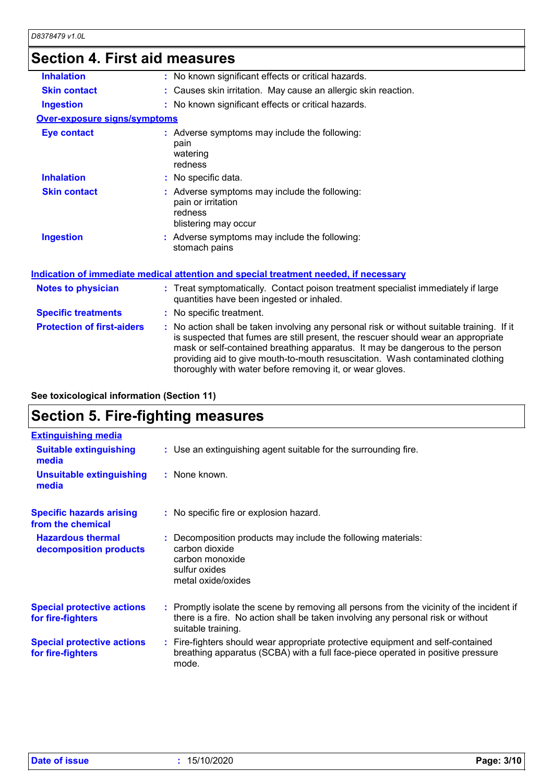## **Section 4. First aid measures**

| <b>Inhalation</b>                   | : No known significant effects or critical hazards.                                                                                                                                                                                                                                                                                                                                                             |
|-------------------------------------|-----------------------------------------------------------------------------------------------------------------------------------------------------------------------------------------------------------------------------------------------------------------------------------------------------------------------------------------------------------------------------------------------------------------|
| <b>Skin contact</b>                 | : Causes skin irritation. May cause an allergic skin reaction.                                                                                                                                                                                                                                                                                                                                                  |
| <b>Ingestion</b>                    | : No known significant effects or critical hazards.                                                                                                                                                                                                                                                                                                                                                             |
| <b>Over-exposure signs/symptoms</b> |                                                                                                                                                                                                                                                                                                                                                                                                                 |
| <b>Eye contact</b>                  | : Adverse symptoms may include the following:<br>pain<br>watering<br>redness                                                                                                                                                                                                                                                                                                                                    |
| <b>Inhalation</b>                   | : No specific data.                                                                                                                                                                                                                                                                                                                                                                                             |
| <b>Skin contact</b>                 | : Adverse symptoms may include the following:<br>pain or irritation<br>redness<br>blistering may occur                                                                                                                                                                                                                                                                                                          |
| <b>Ingestion</b>                    | : Adverse symptoms may include the following:<br>stomach pains                                                                                                                                                                                                                                                                                                                                                  |
|                                     | Indication of immediate medical attention and special treatment needed, if necessary                                                                                                                                                                                                                                                                                                                            |
| <b>Notes to physician</b>           | : Treat symptomatically. Contact poison treatment specialist immediately if large<br>quantities have been ingested or inhaled.                                                                                                                                                                                                                                                                                  |
| <b>Specific treatments</b>          | : No specific treatment.                                                                                                                                                                                                                                                                                                                                                                                        |
| <b>Protection of first-aiders</b>   | : No action shall be taken involving any personal risk or without suitable training. If it<br>is suspected that fumes are still present, the rescuer should wear an appropriate<br>mask or self-contained breathing apparatus. It may be dangerous to the person<br>providing aid to give mouth-to-mouth resuscitation. Wash contaminated clothing<br>thoroughly with water before removing it, or wear gloves. |
|                                     |                                                                                                                                                                                                                                                                                                                                                                                                                 |

#### **See toxicological information (Section 11)**

## **Section 5. Fire-fighting measures**

| <b>Extinguishing media</b>                             |                                                                                                                                                                                                     |  |
|--------------------------------------------------------|-----------------------------------------------------------------------------------------------------------------------------------------------------------------------------------------------------|--|
| <b>Suitable extinguishing</b><br>media                 | : Use an extinguishing agent suitable for the surrounding fire.                                                                                                                                     |  |
| <b>Unsuitable extinguishing</b><br>media               | : None known.                                                                                                                                                                                       |  |
| <b>Specific hazards arising</b><br>from the chemical   | : No specific fire or explosion hazard.                                                                                                                                                             |  |
| <b>Hazardous thermal</b><br>decomposition products     | : Decomposition products may include the following materials:<br>carbon dioxide<br>carbon monoxide<br>sulfur oxides<br>metal oxide/oxides                                                           |  |
| <b>Special protective actions</b><br>for fire-fighters | : Promptly isolate the scene by removing all persons from the vicinity of the incident if<br>there is a fire. No action shall be taken involving any personal risk or without<br>suitable training. |  |
| <b>Special protective actions</b><br>for fire-fighters | : Fire-fighters should wear appropriate protective equipment and self-contained<br>breathing apparatus (SCBA) with a full face-piece operated in positive pressure<br>mode.                         |  |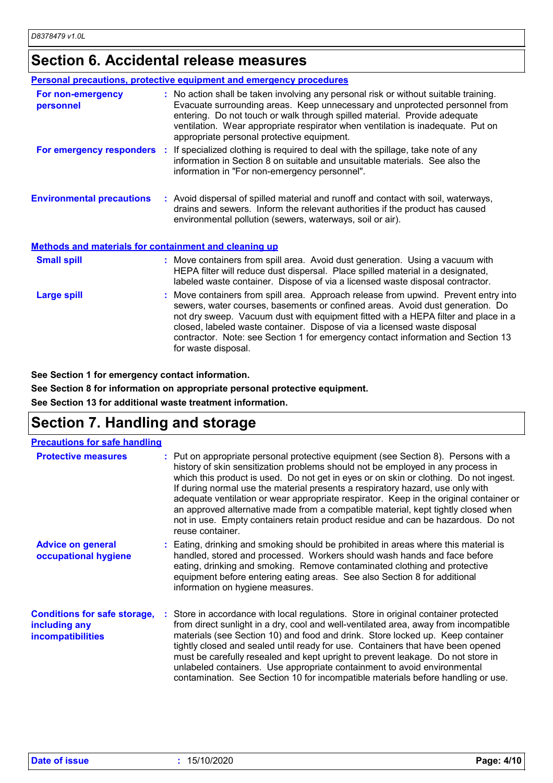## **Section 6. Accidental release measures**

|                                                              | Personal precautions, protective equipment and emergency procedures                                                                                                                                                                                                                                                                                                                                                                                |
|--------------------------------------------------------------|----------------------------------------------------------------------------------------------------------------------------------------------------------------------------------------------------------------------------------------------------------------------------------------------------------------------------------------------------------------------------------------------------------------------------------------------------|
| For non-emergency<br>personnel                               | : No action shall be taken involving any personal risk or without suitable training.<br>Evacuate surrounding areas. Keep unnecessary and unprotected personnel from<br>entering. Do not touch or walk through spilled material. Provide adequate<br>ventilation. Wear appropriate respirator when ventilation is inadequate. Put on<br>appropriate personal protective equipment.                                                                  |
|                                                              | For emergency responders : If specialized clothing is required to deal with the spillage, take note of any<br>information in Section 8 on suitable and unsuitable materials. See also the<br>information in "For non-emergency personnel".                                                                                                                                                                                                         |
| <b>Environmental precautions</b>                             | : Avoid dispersal of spilled material and runoff and contact with soil, waterways,<br>drains and sewers. Inform the relevant authorities if the product has caused<br>environmental pollution (sewers, waterways, soil or air).                                                                                                                                                                                                                    |
| <b>Methods and materials for containment and cleaning up</b> |                                                                                                                                                                                                                                                                                                                                                                                                                                                    |
| <b>Small spill</b>                                           | : Move containers from spill area. Avoid dust generation. Using a vacuum with<br>HEPA filter will reduce dust dispersal. Place spilled material in a designated,<br>labeled waste container. Dispose of via a licensed waste disposal contractor.                                                                                                                                                                                                  |
| <b>Large spill</b>                                           | : Move containers from spill area. Approach release from upwind. Prevent entry into<br>sewers, water courses, basements or confined areas. Avoid dust generation. Do<br>not dry sweep. Vacuum dust with equipment fitted with a HEPA filter and place in a<br>closed, labeled waste container. Dispose of via a licensed waste disposal<br>contractor. Note: see Section 1 for emergency contact information and Section 13<br>for waste disposal. |

**See Section 1 for emergency contact information.**

**See Section 8 for information on appropriate personal protective equipment.**

**See Section 13 for additional waste treatment information.**

### **Section 7. Handling and storage**

| <b>Precautions for safe handling</b>                                             |                                                                                                                                                                                                                                                                                                                                                                                                                                                                                                                                                                                                                                         |
|----------------------------------------------------------------------------------|-----------------------------------------------------------------------------------------------------------------------------------------------------------------------------------------------------------------------------------------------------------------------------------------------------------------------------------------------------------------------------------------------------------------------------------------------------------------------------------------------------------------------------------------------------------------------------------------------------------------------------------------|
| <b>Protective measures</b>                                                       | : Put on appropriate personal protective equipment (see Section 8). Persons with a<br>history of skin sensitization problems should not be employed in any process in<br>which this product is used. Do not get in eyes or on skin or clothing. Do not ingest.<br>If during normal use the material presents a respiratory hazard, use only with<br>adequate ventilation or wear appropriate respirator. Keep in the original container or<br>an approved alternative made from a compatible material, kept tightly closed when<br>not in use. Empty containers retain product residue and can be hazardous. Do not<br>reuse container. |
| <b>Advice on general</b><br>occupational hygiene                                 | : Eating, drinking and smoking should be prohibited in areas where this material is<br>handled, stored and processed. Workers should wash hands and face before<br>eating, drinking and smoking. Remove contaminated clothing and protective<br>equipment before entering eating areas. See also Section 8 for additional<br>information on hygiene measures.                                                                                                                                                                                                                                                                           |
| <b>Conditions for safe storage,</b><br>including any<br><b>incompatibilities</b> | : Store in accordance with local regulations. Store in original container protected<br>from direct sunlight in a dry, cool and well-ventilated area, away from incompatible<br>materials (see Section 10) and food and drink. Store locked up. Keep container<br>tightly closed and sealed until ready for use. Containers that have been opened<br>must be carefully resealed and kept upright to prevent leakage. Do not store in<br>unlabeled containers. Use appropriate containment to avoid environmental<br>contamination. See Section 10 for incompatible materials before handling or use.                                     |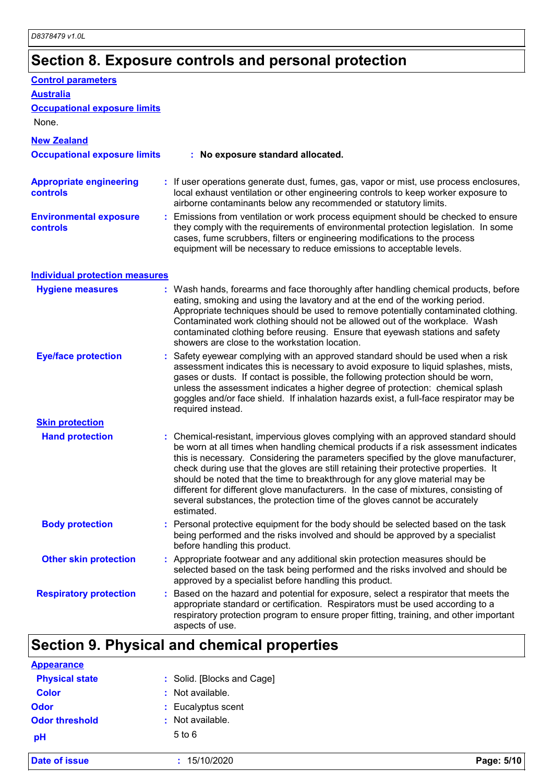## **Section 8. Exposure controls and personal protection**

| <b>Occupational exposure limits</b>                                                                                                                                                                                                                                                                                                                                                                                                                                                                                                                                                                                       |
|---------------------------------------------------------------------------------------------------------------------------------------------------------------------------------------------------------------------------------------------------------------------------------------------------------------------------------------------------------------------------------------------------------------------------------------------------------------------------------------------------------------------------------------------------------------------------------------------------------------------------|
|                                                                                                                                                                                                                                                                                                                                                                                                                                                                                                                                                                                                                           |
|                                                                                                                                                                                                                                                                                                                                                                                                                                                                                                                                                                                                                           |
| : No exposure standard allocated.                                                                                                                                                                                                                                                                                                                                                                                                                                                                                                                                                                                         |
| : If user operations generate dust, fumes, gas, vapor or mist, use process enclosures,<br>local exhaust ventilation or other engineering controls to keep worker exposure to<br>airborne contaminants below any recommended or statutory limits.                                                                                                                                                                                                                                                                                                                                                                          |
| : Emissions from ventilation or work process equipment should be checked to ensure<br>they comply with the requirements of environmental protection legislation. In some<br>cases, fume scrubbers, filters or engineering modifications to the process<br>equipment will be necessary to reduce emissions to acceptable levels.                                                                                                                                                                                                                                                                                           |
| <b>Individual protection measures</b>                                                                                                                                                                                                                                                                                                                                                                                                                                                                                                                                                                                     |
| : Wash hands, forearms and face thoroughly after handling chemical products, before<br>eating, smoking and using the lavatory and at the end of the working period.<br>Appropriate techniques should be used to remove potentially contaminated clothing.<br>Contaminated work clothing should not be allowed out of the workplace. Wash<br>contaminated clothing before reusing. Ensure that eyewash stations and safety<br>showers are close to the workstation location.                                                                                                                                               |
| : Safety eyewear complying with an approved standard should be used when a risk<br>assessment indicates this is necessary to avoid exposure to liquid splashes, mists,<br>gases or dusts. If contact is possible, the following protection should be worn,<br>unless the assessment indicates a higher degree of protection: chemical splash<br>goggles and/or face shield. If inhalation hazards exist, a full-face respirator may be<br>required instead.                                                                                                                                                               |
|                                                                                                                                                                                                                                                                                                                                                                                                                                                                                                                                                                                                                           |
| : Chemical-resistant, impervious gloves complying with an approved standard should<br>be worn at all times when handling chemical products if a risk assessment indicates<br>this is necessary. Considering the parameters specified by the glove manufacturer,<br>check during use that the gloves are still retaining their protective properties. It<br>should be noted that the time to breakthrough for any glove material may be<br>different for different alove manufacturers. In the case of mixtures, consisting of<br>several substances, the protection time of the gloves cannot be accurately<br>estimated. |
| Personal protective equipment for the body should be selected based on the task<br>being performed and the risks involved and should be approved by a specialist<br>before handling this product.                                                                                                                                                                                                                                                                                                                                                                                                                         |
| : Appropriate footwear and any additional skin protection measures should be<br>selected based on the task being performed and the risks involved and should be<br>approved by a specialist before handling this product.                                                                                                                                                                                                                                                                                                                                                                                                 |
| : Based on the hazard and potential for exposure, select a respirator that meets the<br>appropriate standard or certification. Respirators must be used according to a<br>respiratory protection program to ensure proper fitting, training, and other important<br>aspects of use.                                                                                                                                                                                                                                                                                                                                       |
| <b>Occupational exposure limits</b>                                                                                                                                                                                                                                                                                                                                                                                                                                                                                                                                                                                       |

### **Section 9. Physical and chemical properties**

| <b>Date of issue</b>  | 15/10/2020                 | Page: 5/10 |
|-----------------------|----------------------------|------------|
| pH                    | $5$ to $6$                 |            |
| <b>Odor threshold</b> | Not available.<br>٠        |            |
| <b>Odor</b>           | : Eucalyptus scent         |            |
| <b>Color</b>          | : Not available.           |            |
| <b>Physical state</b> | : Solid. [Blocks and Cage] |            |
| <b>Appearance</b>     |                            |            |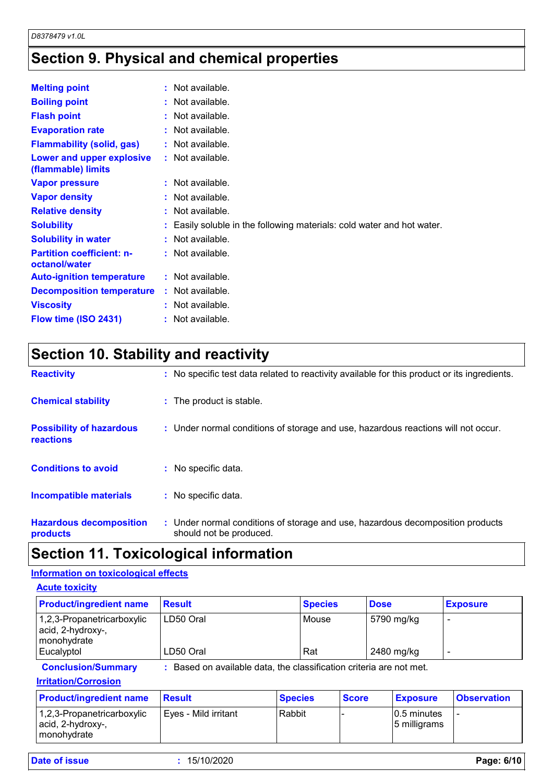## **Section 9. Physical and chemical properties**

| <b>Melting point</b>                              | $:$ Not available.                                                     |
|---------------------------------------------------|------------------------------------------------------------------------|
| <b>Boiling point</b>                              | $:$ Not available.                                                     |
| <b>Flash point</b>                                | $:$ Not available.                                                     |
| <b>Evaporation rate</b>                           | $:$ Not available.                                                     |
| <b>Flammability (solid, gas)</b>                  | : Not available.                                                       |
| Lower and upper explosive<br>(flammable) limits   | : Not available.                                                       |
| <b>Vapor pressure</b>                             | $:$ Not available.                                                     |
| <b>Vapor density</b>                              | $:$ Not available.                                                     |
| <b>Relative density</b>                           | $:$ Not available.                                                     |
| <b>Solubility</b>                                 | : Easily soluble in the following materials: cold water and hot water. |
| <b>Solubility in water</b>                        | $:$ Not available.                                                     |
| <b>Partition coefficient: n-</b><br>octanol/water | $:$ Not available.                                                     |
| <b>Auto-ignition temperature</b>                  | $:$ Not available.                                                     |
| <b>Decomposition temperature</b>                  | $:$ Not available.                                                     |
| <b>Viscosity</b>                                  | : Not available.                                                       |
| Flow time (ISO 2431)                              | : Not available.                                                       |

## **Section 10. Stability and reactivity**

| <b>Reactivity</b>                                   | : No specific test data related to reactivity available for this product or its ingredients.              |
|-----------------------------------------------------|-----------------------------------------------------------------------------------------------------------|
| <b>Chemical stability</b>                           | : The product is stable.                                                                                  |
| <b>Possibility of hazardous</b><br><b>reactions</b> | : Under normal conditions of storage and use, hazardous reactions will not occur.                         |
| <b>Conditions to avoid</b>                          | : No specific data.                                                                                       |
| <b>Incompatible materials</b>                       | : No specific data.                                                                                       |
| <b>Hazardous decomposition</b><br>products          | : Under normal conditions of storage and use, hazardous decomposition products<br>should not be produced. |

### **Section 11. Toxicological information**

#### **Information on toxicological effects**

**Acute toxicity**

| <b>Product/ingredient name</b>                                 | <b>Result</b>                                                     | <b>Species</b> | <b>Dose</b> | <b>Exposure</b> |
|----------------------------------------------------------------|-------------------------------------------------------------------|----------------|-------------|-----------------|
| 1,2,3-Propanetricarboxylic<br>acid, 2-hydroxy-,<br>monohydrate | LD50 Oral                                                         | Mouse          | 5790 mg/kg  |                 |
| Eucalyptol                                                     | LD50 Oral                                                         | Rat            | 2480 mg/kg  |                 |
| <b>Conclusion/Summary</b>                                      | Based on available data, the classification criteria are not met. |                |             |                 |

#### **Irritation/Corrosion**

| <b>Product/ingredient name</b>                                     | <b>Result</b>        | <b>Species</b> | <b>Score</b> | <b>Exposure</b>              | <b>Observation</b> |
|--------------------------------------------------------------------|----------------------|----------------|--------------|------------------------------|--------------------|
| $ 1,2,3$ -Propanetricarboxylic<br>acid, 2-hydroxy-,<br>monohydrate | Eves - Mild irritant | Rabbit         |              | 10.5 minutes<br>5 milligrams |                    |

**Date of issue :** 15/10/2020 **Page: 6/10**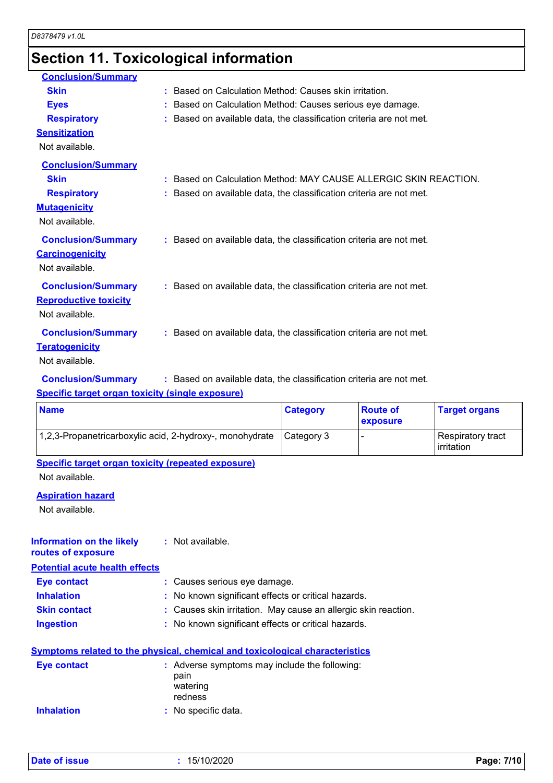## **Section 11. Toxicological information**

| <b>Conclusion/Summary</b>    |                                                                     |
|------------------------------|---------------------------------------------------------------------|
| <b>Skin</b>                  | : Based on Calculation Method: Causes skin irritation.              |
| <b>Eyes</b>                  | : Based on Calculation Method: Causes serious eye damage.           |
| <b>Respiratory</b>           | : Based on available data, the classification criteria are not met. |
| <b>Sensitization</b>         |                                                                     |
| Not available.               |                                                                     |
| <b>Conclusion/Summary</b>    |                                                                     |
| <b>Skin</b>                  | : Based on Calculation Method: MAY CAUSE ALLERGIC SKIN REACTION.    |
| <b>Respiratory</b>           | : Based on available data, the classification criteria are not met. |
| <b>Mutagenicity</b>          |                                                                     |
| Not available.               |                                                                     |
| <b>Conclusion/Summary</b>    | : Based on available data, the classification criteria are not met. |
| <b>Carcinogenicity</b>       |                                                                     |
| Not available.               |                                                                     |
| <b>Conclusion/Summary</b>    | : Based on available data, the classification criteria are not met. |
| <b>Reproductive toxicity</b> |                                                                     |
| Not available.               |                                                                     |
| <b>Conclusion/Summary</b>    | : Based on available data, the classification criteria are not met. |
| <b>Teratogenicity</b>        |                                                                     |
| Not available.               |                                                                     |

#### **Conclusion/Summary :** Based on available data, the classification criteria are not met.

#### **Specific target organ toxicity (single exposure)**

| <b>Name</b>                                              | <b>Category</b> | <b>Route of</b><br>exposure | <b>Target organs</b>            |
|----------------------------------------------------------|-----------------|-----------------------------|---------------------------------|
| 1,2,3-Propanetricarboxylic acid, 2-hydroxy-, monohydrate | Category 3      |                             | Respiratory tract<br>irritation |

### **Specific target organ toxicity (repeated exposure)**

Not available.

#### **Aspiration hazard**

Not available.

#### **Information on the likely :** Not available. **routes of exposure**

**Potential acute health effects**

| Eye contact         | : Causes serious eye damage.                                   |
|---------------------|----------------------------------------------------------------|
| <b>Inhalation</b>   | : No known significant effects or critical hazards.            |
| <b>Skin contact</b> | : Causes skin irritation. May cause an allergic skin reaction. |
| <b>Ingestion</b>    | : No known significant effects or critical hazards.            |

#### **Symptoms related to the physical, chemical and toxicological characteristics**

| Eye contact       | : Adverse symptoms may include the following:<br>pain<br>watering<br>redness |
|-------------------|------------------------------------------------------------------------------|
| <b>Inhalation</b> | : No specific data.                                                          |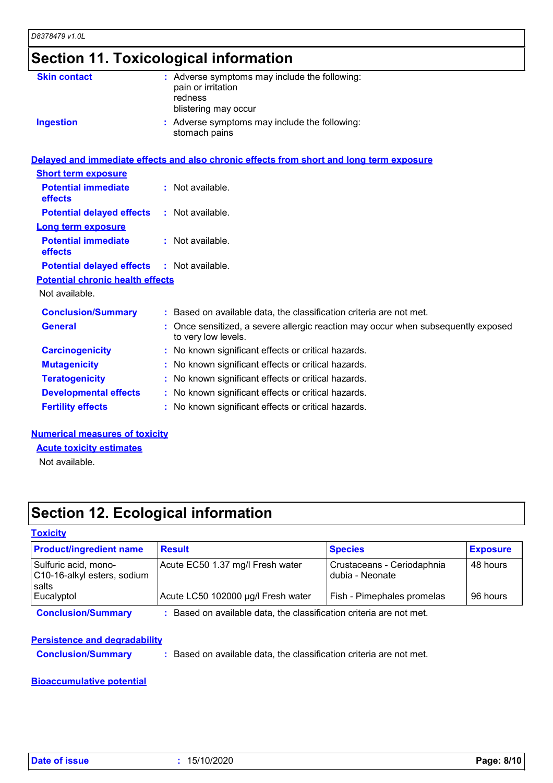## **Section 11. Toxicological information**

| <b>Skin contact</b>                          | : Adverse symptoms may include the following:<br>pain or irritation<br>redness<br>blistering may occur   |
|----------------------------------------------|----------------------------------------------------------------------------------------------------------|
| <b>Ingestion</b>                             | : Adverse symptoms may include the following:<br>stomach pains                                           |
|                                              | Delayed and immediate effects and also chronic effects from short and long term exposure                 |
| <b>Short term exposure</b>                   |                                                                                                          |
| <b>Potential immediate</b><br><b>effects</b> | : Not available.                                                                                         |
| <b>Potential delayed effects</b>             | : Not available.                                                                                         |
| <b>Long term exposure</b>                    |                                                                                                          |
| <b>Potential immediate</b><br>effects        | : Not available.                                                                                         |
| <b>Potential delayed effects</b>             | $:$ Not available.                                                                                       |
| <b>Potential chronic health effects</b>      |                                                                                                          |
| Not available.                               |                                                                                                          |
| <b>Conclusion/Summary</b>                    | : Based on available data, the classification criteria are not met.                                      |
| <b>General</b>                               | : Once sensitized, a severe allergic reaction may occur when subsequently exposed<br>to very low levels. |
| <b>Carcinogenicity</b>                       | : No known significant effects or critical hazards.                                                      |
| <b>Mutagenicity</b>                          | : No known significant effects or critical hazards.                                                      |
| <b>Teratogenicity</b>                        | : No known significant effects or critical hazards.                                                      |
| <b>Developmental effects</b>                 | : No known significant effects or critical hazards.                                                      |
| <b>Fertility effects</b>                     | : No known significant effects or critical hazards.                                                      |
|                                              |                                                                                                          |

#### **Numerical measures of toxicity**

**Acute toxicity estimates**

Not available.

## **Section 12. Ecological information**

#### **Toxicity**

| <b>Product/ingredient name</b>                               | <b>Result</b>                                                     | <b>Species</b>                                | <b>Exposure</b> |
|--------------------------------------------------------------|-------------------------------------------------------------------|-----------------------------------------------|-----------------|
| Sulfuric acid, mono-<br>C10-16-alkyl esters, sodium<br>salts | Acute EC50 1.37 mg/l Fresh water                                  | Crustaceans - Ceriodaphnia<br>dubia - Neonate | 48 hours        |
| Eucalyptol                                                   | Acute LC50 102000 µg/l Fresh water                                | Fish - Pimephales promelas                    | 96 hours        |
| <b>Conclusion/Summary</b>                                    | Based on available data, the classification criteria are not met. |                                               |                 |

#### **Persistence and degradability**

**Conclusion/Summary :** Based on available data, the classification criteria are not met.

#### **Bioaccumulative potential**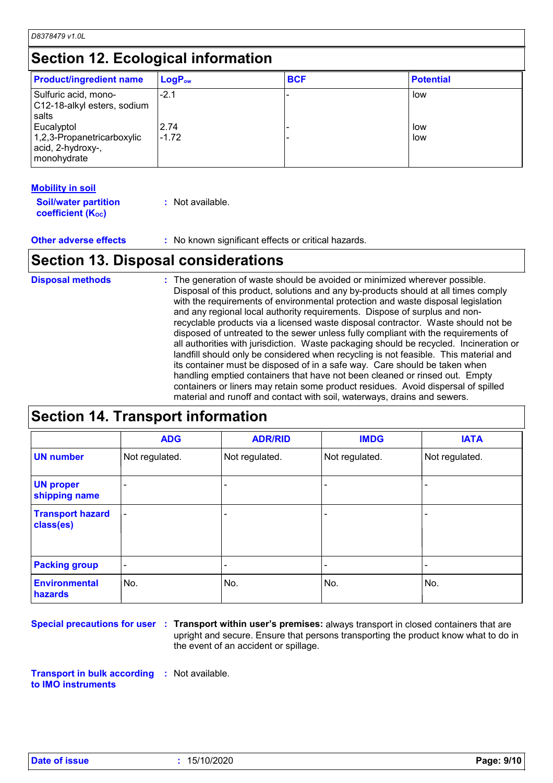*D8378479 v1.0L*

### **Section 12. Ecological information**

| <b>Product/ingredient name</b>                                               | $LogP_{ow}$     | <b>BCF</b> | <b>Potential</b> |
|------------------------------------------------------------------------------|-----------------|------------|------------------|
| Sulfuric acid, mono-<br>C12-18-alkyl esters, sodium<br>salts                 | $-2.1$          |            | low              |
| Eucalyptol<br>1,2,3-Propanetricarboxylic<br>acid, 2-hydroxy-,<br>monohydrate | 2.74<br>$-1.72$ |            | low<br>low       |

#### **Mobility in soil**

| <b>Soil/water partition</b> | : Not available. |
|-----------------------------|------------------|
| <b>coefficient (Koc)</b>    |                  |

**Other adverse effects** : No known significant effects or critical hazards.

### **Section 13. Disposal considerations**

| <b>Disposal methods</b> | : The generation of waste should be avoided or minimized wherever possible.<br>Disposal of this product, solutions and any by-products should at all times comply<br>with the requirements of environmental protection and waste disposal legislation<br>and any regional local authority requirements. Dispose of surplus and non-<br>recyclable products via a licensed waste disposal contractor. Waste should not be<br>disposed of untreated to the sewer unless fully compliant with the requirements of<br>all authorities with jurisdiction. Waste packaging should be recycled. Incineration or<br>landfill should only be considered when recycling is not feasible. This material and<br>its container must be disposed of in a safe way. Care should be taken when<br>handling emptied containers that have not been cleaned or rinsed out. Empty<br>containers or liners may retain some product residues. Avoid dispersal of spilled |
|-------------------------|----------------------------------------------------------------------------------------------------------------------------------------------------------------------------------------------------------------------------------------------------------------------------------------------------------------------------------------------------------------------------------------------------------------------------------------------------------------------------------------------------------------------------------------------------------------------------------------------------------------------------------------------------------------------------------------------------------------------------------------------------------------------------------------------------------------------------------------------------------------------------------------------------------------------------------------------------|
|                         | material and runoff and contact with soil, waterways, drains and sewers.                                                                                                                                                                                                                                                                                                                                                                                                                                                                                                                                                                                                                                                                                                                                                                                                                                                                           |

### **Section 14. Transport information**

|                                      | <b>ADG</b>                   | <b>ADR/RID</b> | <b>IMDG</b>    | <b>IATA</b>    |
|--------------------------------------|------------------------------|----------------|----------------|----------------|
| <b>UN number</b>                     | Not regulated.               | Not regulated. | Not regulated. | Not regulated. |
| <b>UN proper</b><br>shipping name    |                              |                |                |                |
| <b>Transport hazard</b><br>class(es) |                              |                |                |                |
| <b>Packing group</b>                 | $\qquad \qquad \blacksquare$ |                |                |                |
| <b>Environmental</b><br>hazards      | No.                          | No.            | No.            | No.            |

Special precautions for user : Transport within user's premises: always transport in closed containers that are upright and secure. Ensure that persons transporting the product know what to do in the event of an accident or spillage.

**Transport in bulk according :** Not available. **to IMO instruments**